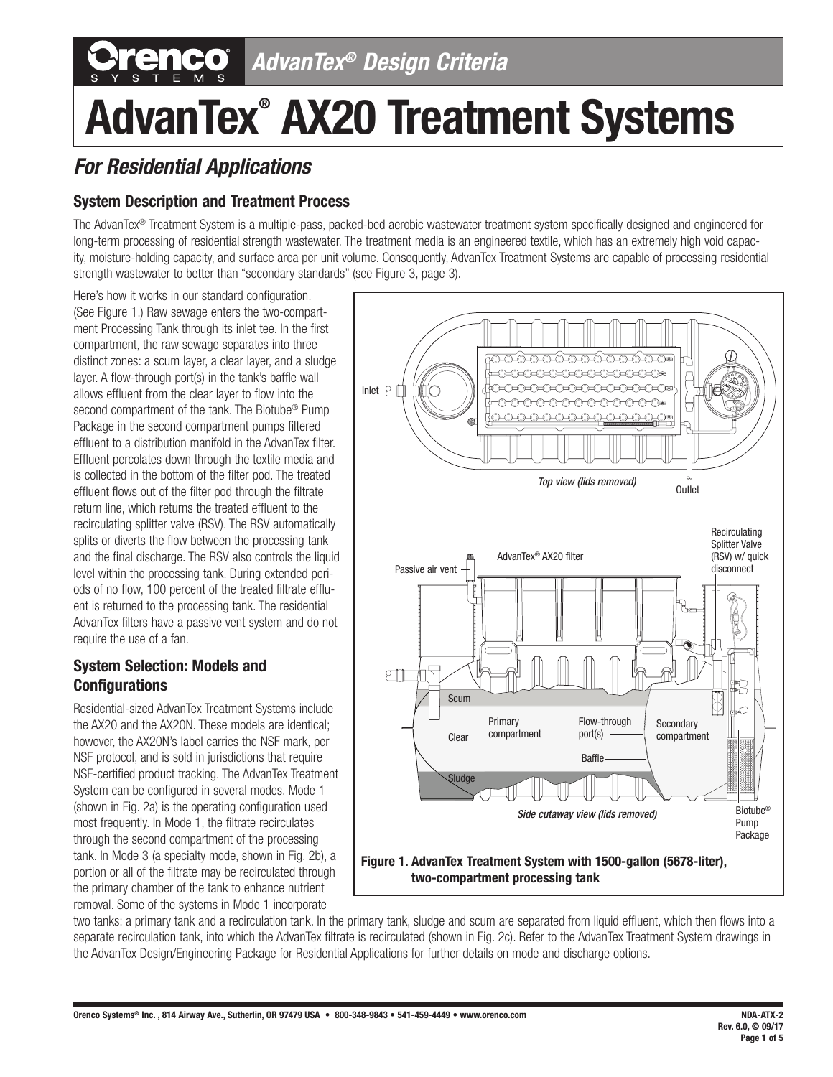## *AdvanTex® Design Criteria*

# **AdvanTex® AX20 Treatment Systems**

### *For Residential Applications*

#### **System Description and Treatment Process**

The AdvanTex® Treatment System is a multiple-pass, packed-bed aerobic wastewater treatment system specifically designed and engineered for long-term processing of residential strength wastewater. The treatment media is an engineered textile, which has an extremely high void capacity, moisture-holding capacity, and surface area per unit volume. Consequently, AdvanTex Treatment Systems are capable of processing residential strength wastewater to better than "secondary standards" (see Figure 3, page 3).

Here's how it works in our standard configuration. (See Figure 1.) Raw sewage enters the two-compartment Processing Tank through its inlet tee. In the first compartment, the raw sewage separates into three distinct zones: a scum layer, a clear layer, and a sludge layer. A flow-through port(s) in the tank's baffle wall allows effluent from the clear layer to flow into the second compartment of the tank. The Biotube<sup>®</sup> Pump Package in the second compartment pumps filtered effluent to a distribution manifold in the AdvanTex filter. Effluent percolates down through the textile media and is collected in the bottom of the filter pod. The treated effluent flows out of the filter pod through the filtrate return line, which returns the treated effluent to the recirculating splitter valve (RSV). The RSV automatically splits or diverts the flow between the processing tank and the final discharge. The RSV also controls the liquid level within the processing tank. During extended periods of no flow, 100 percent of the treated filtrate effluent is returned to the processing tank. The residential AdvanTex filters have a passive vent system and do not require the use of a fan.

#### **System Selection: Models and Configurations**

Residential-sized AdvanTex Treatment Systems include the AX20 and the AX20N. These models are identical; however, the AX20N's label carries the NSF mark, per NSF protocol, and is sold in jurisdictions that require NSF-certified product tracking. The AdvanTex Treatment System can be configured in several modes. Mode 1 (shown in Fig. 2a) is the operating configuration used most frequently. In Mode 1, the filtrate recirculates through the second compartment of the processing tank. In Mode 3 (a specialty mode, shown in Fig. 2b), a portion or all of the filtrate may be recirculated through the primary chamber of the tank to enhance nutrient removal. Some of the systems in Mode 1 incorporate



two tanks: a primary tank and a recirculation tank. In the primary tank, sludge and scum are separated from liquid effluent, which then flows into a separate recirculation tank, into which the AdvanTex filtrate is recirculated (shown in Fig. 2c). Refer to the AdvanTex Treatment System drawings in the AdvanTex Design/Engineering Package for Residential Applications for further details on mode and discharge options.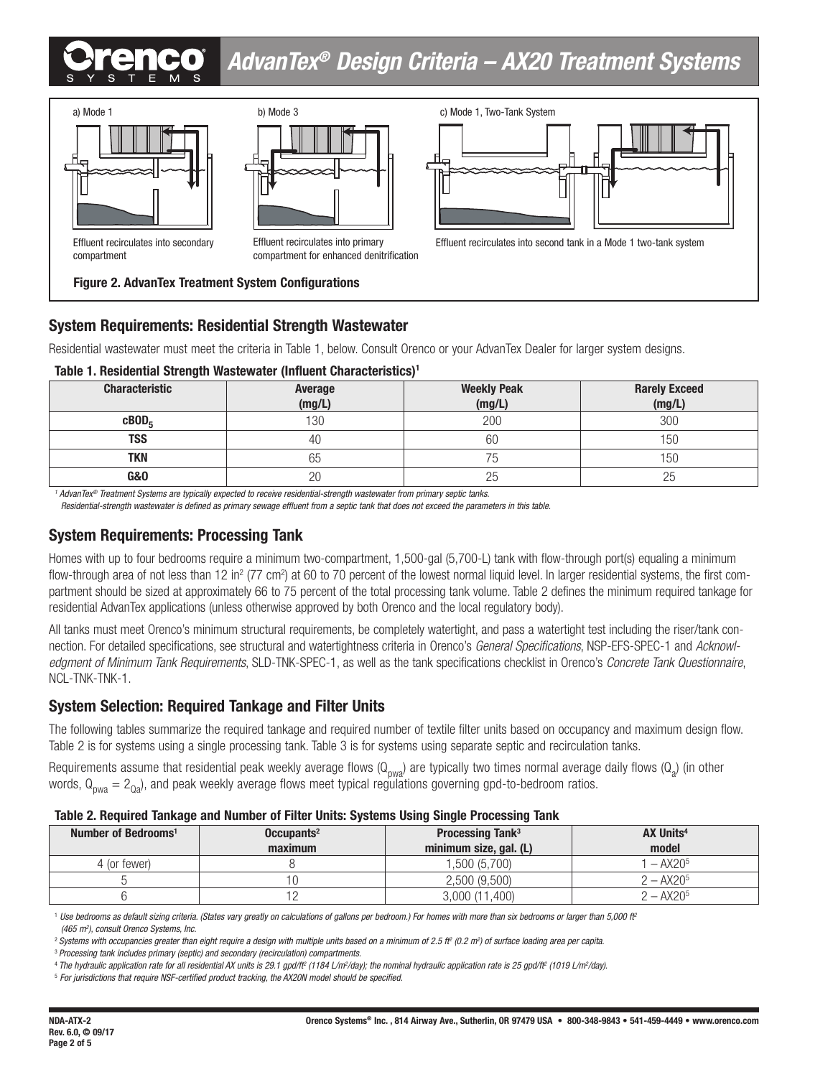## *AdvanTex® Design Criteria – AX20 Treatment Systems*





Effluent recirculates into primary compartment for enhanced denitrification



Effluent recirculates into second tank in a Mode 1 two-tank system

## **System Requirements: Residential Strength Wastewater**

**Figure 2. AdvanTex Treatment System Configurations**

Residential wastewater must meet the criteria in Table 1, below. Consult Orenco or your AdvanTex Dealer for larger system designs.

#### **Table 1. Residential Strength Wastewater (Influent Characteristics)1**

| <b>Characteristic</b> | Average<br>(mg/L) | <b>Weekly Peak</b><br>(mg/L) | <b>Rarely Exceed</b><br>(mg/L) |
|-----------------------|-------------------|------------------------------|--------------------------------|
| cBOD <sub>c</sub>     | 130               | 200                          | 300                            |
| TSS                   | 40                | 60                           | 50                             |
| TKN                   | 65                |                              | 50                             |
| <b>G&amp;O</b>        | 20                | 25                           |                                |

*1 AdvanTex® Treatment Systems are typically expected to receive residential-strength wastewater from primary septic tanks.* 

*Residential-strength wastewater is defined as primary sewage effluent from a septic tank that does not exceed the parameters in this table.*

#### **System Requirements: Processing Tank**

Homes with up to four bedrooms require a minimum two-compartment, 1,500-gal (5,700-L) tank with flow-through port(s) equaling a minimum flow-through area of not less than 12 in<sup>2</sup> (77 cm<sup>2</sup>) at 60 to 70 percent of the lowest normal liquid level. In larger residential systems, the first compartment should be sized at approximately 66 to 75 percent of the total processing tank volume. Table 2 defines the minimum required tankage for residential AdvanTex applications (unless otherwise approved by both Orenco and the local regulatory body).

All tanks must meet Orenco's minimum structural requirements, be completely watertight, and pass a watertight test including the riser/tank connection. For detailed specifications, see structural and watertightness criteria in Orenco's *General Specifications*, NSP-EFS-SPEC-1 and *Acknowledgment of Minimum Tank Requirements*, SLD-TNK-SPEC-1, as well as the tank specifications checklist in Orenco's *Concrete Tank Questionnaire*, NCL-TNK-TNK-1.

#### **System Selection: Required Tankage and Filter Units**

The following tables summarize the required tankage and required number of textile filter units based on occupancy and maximum design flow. Table 2 is for systems using a single processing tank. Table 3 is for systems using separate septic and recirculation tanks.

Requirements assume that residential peak weekly average flows (Q<sub>pwa</sub>) are typically two times normal average daily flows (Q<sub>a</sub>) (in other words,  $Q_{p_{\text{nwa}}} = 2_{p_{\text{a}}}$ , and peak weekly average flows meet typical regulations governing gpd-to-bedroom ratios.

#### **Table 2. Required Tankage and Number of Filter Units: Systems Using Single Processing Tank**

| Number of Bedrooms <sup>1</sup> | Occupants <sup>2</sup> | <b>Processing Tank<sup>3</sup></b> | <b>AX Units<sup>4</sup></b> |
|---------------------------------|------------------------|------------------------------------|-----------------------------|
|                                 | maximum                | minimum size, gal. (L)             | model                       |
| 4 (or fewer)                    |                        | 1,500 (5,700)                      | $-$ AX20 <sup>5</sup>       |
|                                 |                        | 2,500(9,500)                       | $2 - AX205$                 |
|                                 |                        | 3,000 (11,400)                     | $2 - AX205$                 |

<sup>1</sup> Use bedrooms as default sizing criteria. (States vary greatly on calculations of gallons per bedroom.) For homes with more than six bedrooms or larger than 5,000 ft<sup>2</sup> *(465 m2 ), consult Orenco Systems, Inc.*

<sup>2</sup> Systems with occupancies greater than eight require a design with multiple units based on a minimum of 2.5 ft (0.2 m²) of surface loading area per capita.

<sup>3</sup>*Processing tank includes primary (septic) and secondary (recirculation) compartments.*

<sup>4</sup>*The hydraulic application rate for all residential AX units is 29.1 gpd/ft2 (1184 L/m2 /day); the nominal hydraulic application rate is 25 gpd/ft2 (1019 L/m2 /day).*

5  *For jurisdictions that require NSF-certified product tracking, the AX20N model should be specified.*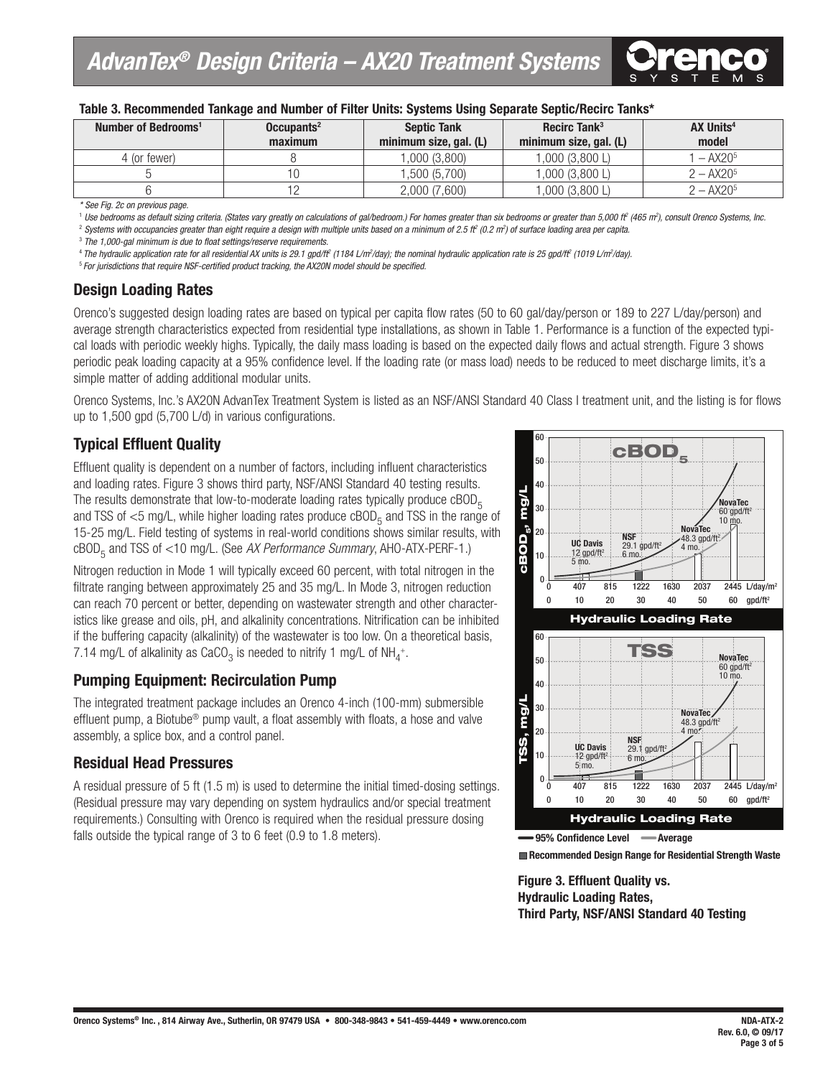

| Table 3. Recommended Tankage and Number of Filter Units: Systems Using Separate Septic/Recirc Tanks* |  |  |  |  |
|------------------------------------------------------------------------------------------------------|--|--|--|--|
|                                                                                                      |  |  |  |  |

| Number of Bedrooms <sup>1</sup> | Occupants <sup>2</sup> | Recirc Tank <sup>3</sup><br><b>Septic Tank</b> |                        | <b>AX Units<sup>4</sup></b> |
|---------------------------------|------------------------|------------------------------------------------|------------------------|-----------------------------|
|                                 | maximum                | minimum size, gal. (L)                         | minimum size, gal. (L) | model                       |
| 4 (or fewer).                   |                        | ,000(3,800)                                    | ,000(3,800 L)          | $-$ AX20 <sup>5</sup>       |
|                                 |                        | .500(5.700)                                    | .000(3.800L)           | $2 - AX205$                 |
|                                 |                        | 2,000 (7,600)                                  | $000$ (3,800 L,        | $2 - AX205$                 |

*\* See Fig. 2c on previous page.*

<sup>1</sup> Use bedrooms as default sizing criteria. (States vary greatly on calculations of gal/bedroom.) For homes greater than six bedrooms or greater than 5,000 ft (465 m<sup>2</sup>), consult Orenco Systems, Inc.

2  *Systems with occupancies greater than eight require a design with multiple units based on a minimum of 2.5 ft2 (0.2 m2 ) of surface loading area per capita.*

3  *The 1,000-gal minimum is due to float settings/reserve requirements.*

<sup>4</sup>*The hydraulic application rate for all residential AX units is 29.1 gpd/ft2 (1184 L/m2 /day); the nominal hydraulic application rate is 25 gpd/ft2 (1019 L/m2 /day).*

<sup>5</sup>*For jurisdictions that require NSF-certified product tracking, the AX20N model should be specified.*

#### **Design Loading Rates**

Orenco's suggested design loading rates are based on typical per capita flow rates (50 to 60 gal/day/person or 189 to 227 L/day/person) and average strength characteristics expected from residential type installations, as shown in Table 1. Performance is a function of the expected typical loads with periodic weekly highs. Typically, the daily mass loading is based on the expected daily flows and actual strength. Figure 3 shows periodic peak loading capacity at a 95% confidence level. If the loading rate (or mass load) needs to be reduced to meet discharge limits, it's a simple matter of adding additional modular units.

Orenco Systems, Inc.'s AX20N AdvanTex Treatment System is listed as an NSF/ANSI Standard 40 Class I treatment unit, and the listing is for flows up to 1,500 gpd (5,700 L/d) in various configurations.

#### **Typical Effluent Quality**

Effluent quality is dependent on a number of factors, including influent characteristics and loading rates. Figure 3 shows third party, NSF/ANSI Standard 40 testing results. The results demonstrate that low-to-moderate loading rates typically produce  $cBOD<sub>5</sub>$ and TSS of  $\leq$ 5 mg/L, while higher loading rates produce cBOD<sub>5</sub> and TSS in the range of 15-25 mg/L. Field testing of systems in real-world conditions shows similar results, with cBOD5 and TSS of <10 mg/L. (See *AX Performance Summary*, AHO-ATX-PERF-1.)

Nitrogen reduction in Mode 1 will typically exceed 60 percent, with total nitrogen in the filtrate ranging between approximately 25 and 35 mg/L. In Mode 3, nitrogen reduction can reach 70 percent or better, depending on wastewater strength and other characteristics like grease and oils, pH, and alkalinity concentrations. Nitrification can be inhibited if the buffering capacity (alkalinity) of the wastewater is too low. On a theoretical basis, 7.14 mg/L of alkalinity as CaCO<sub>3</sub> is needed to nitrify 1 mg/L of NH<sub>4</sub>+.

#### **Pumping Equipment: Recirculation Pump**

The integrated treatment package includes an Orenco 4-inch (100-mm) submersible effluent pump, a Biotube® pump vault, a float assembly with floats, a hose and valve assembly, a splice box, and a control panel.

#### **Residual Head Pressures**

A residual pressure of 5 ft (1.5 m) is used to determine the initial timed-dosing settings. (Residual pressure may vary depending on system hydraulics and/or special treatment requirements.) Consulting with Orenco is required when the residual pressure dosing falls outside the typical range of 3 to 6 feet (0.9 to 1.8 meters).





**Figure 3. Effluent Quality vs. Hydraulic Loading Rates, Third Party, NSF/ANSI Standard 40 Testing**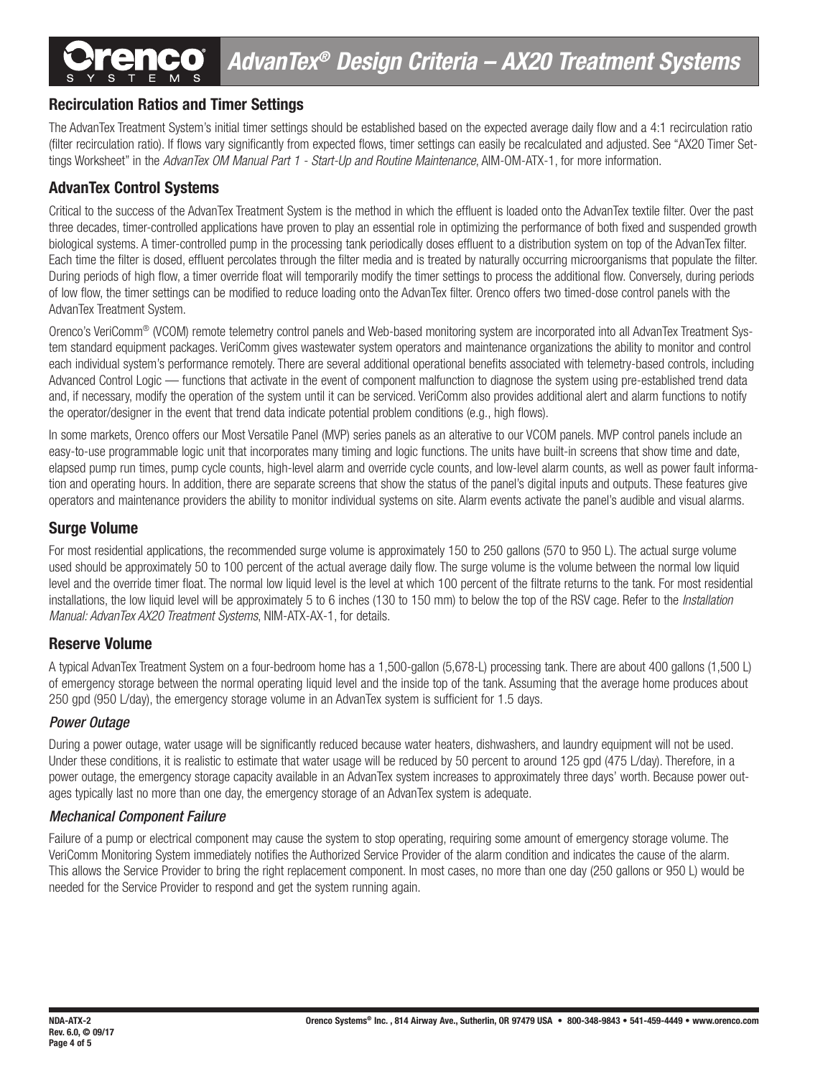#### **Recirculation Ratios and Timer Settings**

The AdvanTex Treatment System's initial timer settings should be established based on the expected average daily flow and a 4:1 recirculation ratio (filter recirculation ratio). If flows vary significantly from expected flows, timer settings can easily be recalculated and adjusted. See "AX20 Timer Settings Worksheet" in the *AdvanTex OM Manual Part 1 - Start-Up and Routine Maintenance*, AIM-OM-ATX-1, for more information.

#### **AdvanTex Control Systems**

Critical to the success of the AdvanTex Treatment System is the method in which the effluent is loaded onto the AdvanTex textile filter. Over the past three decades, timer-controlled applications have proven to play an essential role in optimizing the performance of both fixed and suspended growth biological systems. A timer-controlled pump in the processing tank periodically doses effluent to a distribution system on top of the AdvanTex filter. Each time the filter is dosed, effluent percolates through the filter media and is treated by naturally occurring microorganisms that populate the filter. During periods of high flow, a timer override float will temporarily modify the timer settings to process the additional flow. Conversely, during periods of low flow, the timer settings can be modified to reduce loading onto the AdvanTex filter. Orenco offers two timed-dose control panels with the AdvanTex Treatment System.

Orenco's VeriComm® (VCOM) remote telemetry control panels and Web-based monitoring system are incorporated into all AdvanTex Treatment System standard equipment packages. VeriComm gives wastewater system operators and maintenance organizations the ability to monitor and control each individual system's performance remotely. There are several additional operational benefits associated with telemetry-based controls, including Advanced Control Logic — functions that activate in the event of component malfunction to diagnose the system using pre-established trend data and, if necessary, modify the operation of the system until it can be serviced. VeriComm also provides additional alert and alarm functions to notify the operator/designer in the event that trend data indicate potential problem conditions (e.g., high flows).

In some markets, Orenco offers our Most Versatile Panel (MVP) series panels as an alterative to our VCOM panels. MVP control panels include an easy-to-use programmable logic unit that incorporates many timing and logic functions. The units have built-in screens that show time and date, elapsed pump run times, pump cycle counts, high-level alarm and override cycle counts, and low-level alarm counts, as well as power fault information and operating hours. In addition, there are separate screens that show the status of the panel's digital inputs and outputs. These features give operators and maintenance providers the ability to monitor individual systems on site. Alarm events activate the panel's audible and visual alarms.

#### **Surge Volume**

For most residential applications, the recommended surge volume is approximately 150 to 250 gallons (570 to 950 L). The actual surge volume used should be approximately 50 to 100 percent of the actual average daily flow. The surge volume is the volume between the normal low liquid level and the override timer float. The normal low liquid level is the level at which 100 percent of the filtrate returns to the tank. For most residential installations, the low liquid level will be approximately 5 to 6 inches (130 to 150 mm) to below the top of the RSV cage. Refer to the *Installation Manual: AdvanTex AX20 Treatment Systems*, NIM-ATX-AX-1, for details.

#### **Reserve Volume**

A typical AdvanTex Treatment System on a four-bedroom home has a 1,500-gallon (5,678-L) processing tank. There are about 400 gallons (1,500 L) of emergency storage between the normal operating liquid level and the inside top of the tank. Assuming that the average home produces about 250 gpd (950 L/day), the emergency storage volume in an AdvanTex system is sufficient for 1.5 days.

#### *Power Outage*

During a power outage, water usage will be significantly reduced because water heaters, dishwashers, and laundry equipment will not be used. Under these conditions, it is realistic to estimate that water usage will be reduced by 50 percent to around 125 gpd (475 L/day). Therefore, in a power outage, the emergency storage capacity available in an AdvanTex system increases to approximately three days' worth. Because power outages typically last no more than one day, the emergency storage of an AdvanTex system is adequate.

#### *Mechanical Component Failure*

Failure of a pump or electrical component may cause the system to stop operating, requiring some amount of emergency storage volume. The VeriComm Monitoring System immediately notifies the Authorized Service Provider of the alarm condition and indicates the cause of the alarm. This allows the Service Provider to bring the right replacement component. In most cases, no more than one day (250 gallons or 950 L) would be needed for the Service Provider to respond and get the system running again.